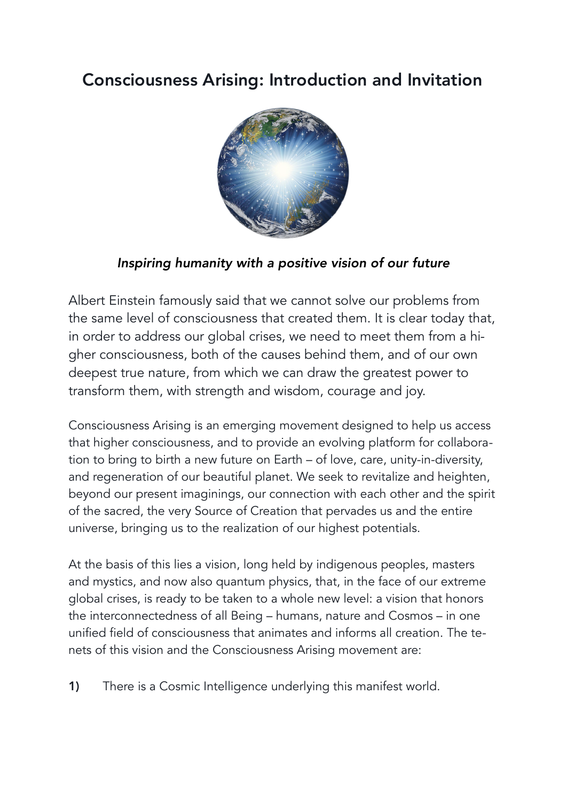## Consciousness Arising: Introduction and Invitation



## *Inspiring humanity with a positive vision of our future*

Albert Einstein famously said that we cannot solve our problems from the same level of consciousness that created them. It is clear today that, in order to address our global crises, we need to meet them from a higher consciousness, both of the causes behind them, and of our own deepest true nature, from which we can draw the greatest power to transform them, with strength and wisdom, courage and joy.

Consciousness Arising is an emerging movement designed to help us access that higher consciousness, and to provide an evolving platform for collaboration to bring to birth a new future on Earth – of love, care, unity-in-diversity, and regeneration of our beautiful planet. We seek to revitalize and heighten, beyond our present imaginings, our connection with each other and the spirit of the sacred, the very Source of Creation that pervades us and the entire universe, bringing us to the realization of our highest potentials.

At the basis of this lies a vision, long held by indigenous peoples, masters and mystics, and now also quantum physics, that, in the face of our extreme global crises, is ready to be taken to a whole new level: a vision that honors the interconnectedness of all Being – humans, nature and Cosmos – in one unified field of consciousness that animates and informs all creation. The tenets of this vision and the Consciousness Arising movement are:

1) There is a Cosmic Intelligence underlying this manifest world.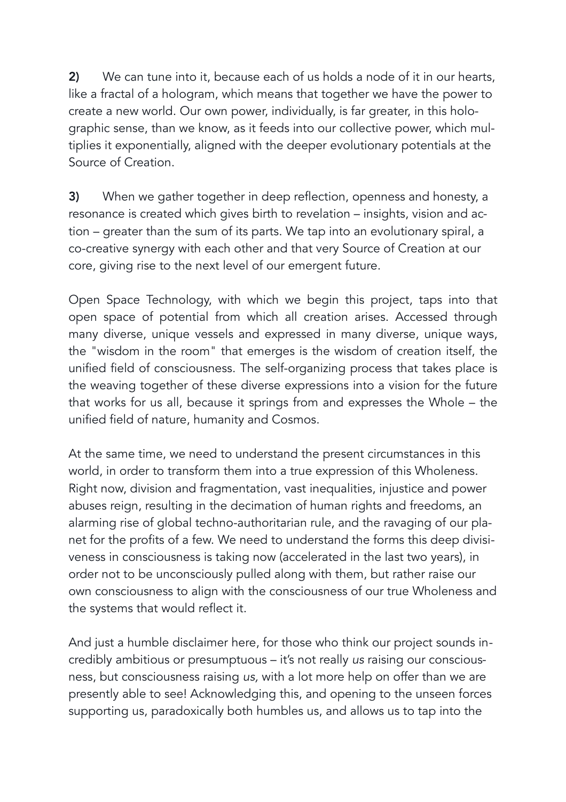2) We can tune into it, because each of us holds a node of it in our hearts, like a fractal of a hologram, which means that together we have the power to create a new world. Our own power, individually, is far greater, in this holographic sense, than we know, as it feeds into our collective power, which multiplies it exponentially, aligned with the deeper evolutionary potentials at the Source of Creation.

3) When we gather together in deep reflection, openness and honesty, a resonance is created which gives birth to revelation – insights, vision and action – greater than the sum of its parts. We tap into an evolutionary spiral, a co-creative synergy with each other and that very Source of Creation at our core, giving rise to the next level of our emergent future.

Open Space Technology, with which we begin this project, taps into that open space of potential from which all creation arises. Accessed through many diverse, unique vessels and expressed in many diverse, unique ways, the "wisdom in the room" that emerges is the wisdom of creation itself, the unified field of consciousness. The self-organizing process that takes place is the weaving together of these diverse expressions into a vision for the future that works for us all, because it springs from and expresses the Whole – the unified field of nature, humanity and Cosmos.

At the same time, we need to understand the present circumstances in this world, in order to transform them into a true expression of this Wholeness. Right now, division and fragmentation, vast inequalities, injustice and power abuses reign, resulting in the decimation of human rights and freedoms, an alarming rise of global techno-authoritarian rule, and the ravaging of our planet for the profits of a few. We need to understand the forms this deep divisiveness in consciousness is taking now (accelerated in the last two years), in order not to be unconsciously pulled along with them, but rather raise our own consciousness to align with the consciousness of our true Wholeness and the systems that would reflect it.

And just a humble disclaimer here, for those who think our project sounds incredibly ambitious or presumptuous – it's not really *us* raising our consciousness, but consciousness raising *us,* with a lot more help on offer than we are presently able to see! Acknowledging this, and opening to the unseen forces supporting us, paradoxically both humbles us, and allows us to tap into the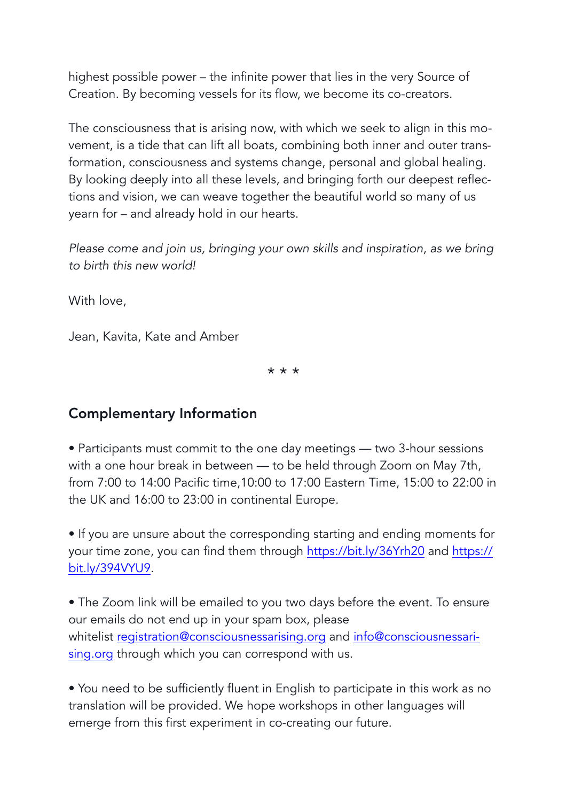highest possible power – the infinite power that lies in the very Source of Creation. By becoming vessels for its flow, we become its co-creators.

The consciousness that is arising now, with which we seek to align in this movement, is a tide that can lift all boats, combining both inner and outer transformation, consciousness and systems change, personal and global healing. By looking deeply into all these levels, and bringing forth our deepest reflections and vision, we can weave together the beautiful world so many of us yearn for – and already hold in our hearts.

*Please come and join us, bringing your own skills and inspiration, as we bring to birth this new world!* 

With love,

Jean, Kavita, Kate and Amber

\* \* \*

## Complementary Information

• Participants must commit to the one day meetings — two 3-hour sessions with a one hour break in between — to be held through Zoom on May 7th, from 7:00 to 14:00 Pacific time,10:00 to 17:00 Eastern Time, 15:00 to 22:00 in the UK and 16:00 to 23:00 in continental Europe.

• If you are unsure about the corresponding starting and ending moments for your time zone, you can find them through <https://bit.ly/36Yrh20> and [https://](https://bit.ly/394VYU9) [bit.ly/394VYU9](https://bit.ly/394VYU9).

• The Zoom link will be emailed to you two days before the event. To ensure our emails do not end up in your spam box, please whitelist [registration@consciousnessarising.org](mailto:mailto:registration@consciousnessarising.org) and [info@consciousnessari](mailto:mailto:info@consciousnessarising.org)[sing.org](mailto:mailto:info@consciousnessarising.org) through which you can correspond with us.

• You need to be sufficiently fluent in English to participate in this work as no translation will be provided. We hope workshops in other languages will emerge from this first experiment in co-creating our future.